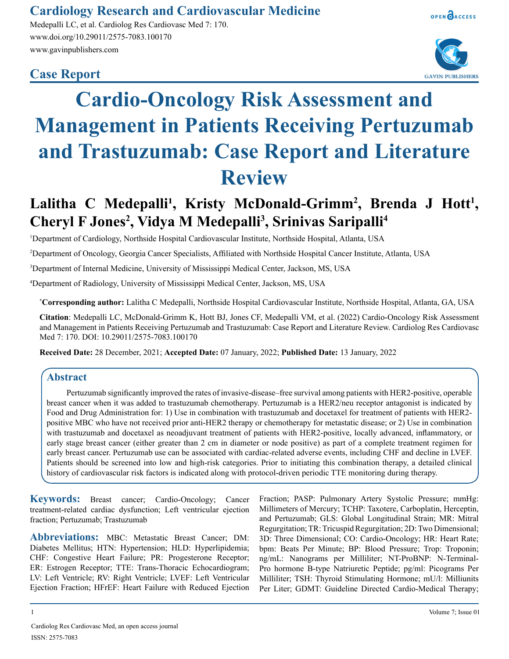## **Cardiology Research and Cardiovascular Medicine**

Medepalli LC, et al. Cardiolog Res Cardiovasc Med 7: 170. www.doi.org/10.29011/2575-7083.100170 www.gavinpublishers.com

## **Case Report**



OPEN CACCESS

# **Cardio-Oncology Risk Assessment and Management in Patients Receiving Pertuzumab and Trastuzumab: Case Report and Literature Review**

# Lalitha C Medepalli<sup>1</sup>, Kristy McDonald-Grimm<sup>2</sup>, Brenda J Hott<sup>1</sup>, Cheryl F Jones<sup>2</sup>, Vidya M Medepalli<sup>3</sup>, Srinivas Saripalli<sup>4</sup>

1 Department of Cardiology, Northside Hospital Cardiovascular Institute, Northside Hospital, Atlanta, USA

2 Department of Oncology, Georgia Cancer Specialists, Affiliated with Northside Hospital Cancer Institute, Atlanta, USA

3 Department of Internal Medicine, University of Mississippi Medical Center, Jackson, MS, USA

4 Department of Radiology, University of Mississippi Medical Center, Jackson, MS, USA

\* **Corresponding author:** Lalitha C Medepalli, Northside Hospital Cardiovascular Institute, Northside Hospital, Atlanta, GA, USA

**Citation**: Medepalli LC, McDonald-Grimm K, Hott BJ, Jones CF, Medepalli VM, et al. (2022) Cardio-Oncology Risk Assessment and Management in Patients Receiving Pertuzumab and Trastuzumab: Case Report and Literature Review. Cardiolog Res Cardiovasc Med 7: 170. DOI: 10.29011/2575-7083.100170

**Received Date:** 28 December, 2021; **Accepted Date:** 07 January, 2022; **Published Date:** 13 January, 2022

#### **Abstract**

Pertuzumab significantly improved the rates of invasive-disease–free survival among patients with HER2-positive, operable breast cancer when it was added to trastuzumab chemotherapy. Pertuzumab is a HER2/neu receptor antagonist is indicated by Food and Drug Administration for: 1) Use in combination with trastuzumab and docetaxel for treatment of patients with HER2 positive MBC who have not received prior anti-HER2 therapy or chemotherapy for metastatic disease; or 2) Use in combination with trastuzumab and docetaxel as neoadjuvant treatment of patients with HER2-positive, locally advanced, inflammatory, or early stage breast cancer (either greater than 2 cm in diameter or node positive) as part of a complete treatment regimen for early breast cancer. Pertuzumab use can be associated with cardiac-related adverse events, including CHF and decline in LVEF. Patients should be screened into low and high-risk categories. Prior to initiating this combination therapy, a detailed clinical history of cardiovascular risk factors is indicated along with protocol-driven periodic TTE monitoring during therapy.

**Keywords:** Breast cancer; Cardio-Oncology; Cancer treatment-related cardiac dysfunction; Left ventricular ejection fraction; Pertuzumab; Trastuzumab

**Abbreviations:** MBC: Metastatic Breast Cancer; DM: Diabetes Mellitus; HTN: Hypertension; HLD: Hyperlipidemia; CHF: Congestive Heart Failure; PR: Progesterone Receptor; ER: Estrogen Receptor; TTE: Trans-Thoracic Echocardiogram; LV: Left Ventricle; RV: Right Ventricle; LVEF: Left Ventricular Ejection Fraction; HFrEF: Heart Failure with Reduced Ejection Fraction; PASP: Pulmonary Artery Systolic Pressure; mmHg: Millimeters of Mercury; TCHP: Taxotere, Carboplatin, Herceptin, and Pertuzumab; GLS: Global Longitudinal Strain; MR: Mitral Regurgitation; TR: Tricuspid Regurgitation; 2D: Two Dimensional; 3D: Three Dimensional; CO: Cardio-Oncology; HR: Heart Rate; bpm: Beats Per Minute; BP: Blood Pressure; Trop: Troponin; ng/mL: Nanograms per Milliliter; NT-ProBNP: N-Terminal-Pro hormone B-type Natriuretic Peptide; pg/ml: Picograms Per Milliliter; TSH: Thyroid Stimulating Hormone; mU/l: Milliunits Per Liter; GDMT: Guideline Directed Cardio-Medical Therapy;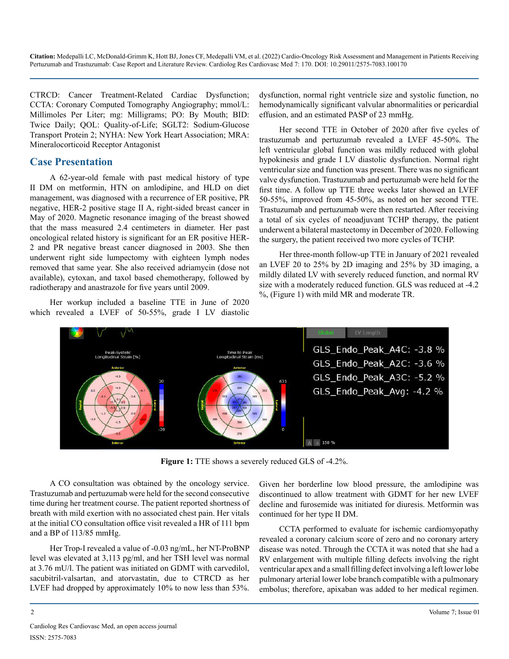CTRCD: Cancer Treatment-Related Cardiac Dysfunction; CCTA: Coronary Computed Tomography Angiography; mmol/L: Millimoles Per Liter; mg: Milligrams; PO: By Mouth; BID: Twice Daily; QOL: Quality-of-Life; SGLT2: Sodium-Glucose Transport Protein 2; NYHA: New York Heart Association; MRA: Mineralocorticoid Receptor Antagonist

#### **Case Presentation**

A 62-year-old female with past medical history of type II DM on metformin, HTN on amlodipine, and HLD on diet management, was diagnosed with a recurrence of ER positive, PR negative, HER-2 positive stage II A, right-sided breast cancer in May of 2020. Magnetic resonance imaging of the breast showed that the mass measured 2.4 centimeters in diameter. Her past oncological related history is significant for an ER positive HER-2 and PR negative breast cancer diagnosed in 2003. She then underwent right side lumpectomy with eighteen lymph nodes removed that same year. She also received adriamycin (dose not available), cytoxan, and taxol based chemotherapy, followed by radiotherapy and anastrazole for five years until 2009.

Her workup included a baseline TTE in June of 2020 which revealed a LVEF of 50-55%, grade I LV diastolic dysfunction, normal right ventricle size and systolic function, no hemodynamically significant valvular abnormalities or pericardial effusion, and an estimated PASP of 23 mmHg.

Her second TTE in October of 2020 after five cycles of trastuzumab and pertuzumab revealed a LVEF 45-50%. The left ventricular global function was mildly reduced with global hypokinesis and grade I LV diastolic dysfunction. Normal right ventricular size and function was present. There was no significant valve dysfunction. Trastuzumab and pertuzumab were held for the first time. A follow up TTE three weeks later showed an LVEF 50-55%, improved from 45-50%, as noted on her second TTE. Trastuzumab and pertuzumab were then restarted. After receiving a total of six cycles of neoadjuvant TCHP therapy, the patient underwent a bilateral mastectomy in December of 2020. Following the surgery, the patient received two more cycles of TCHP.

Her three-month follow-up TTE in January of 2021 revealed an LVEF 20 to 25% by 2D imaging and 25% by 3D imaging, a mildly dilated LV with severely reduced function, and normal RV size with a moderately reduced function. GLS was reduced at -4.2 %, (Figure 1) with mild MR and moderate TR.



**Figure 1:** TTE shows a severely reduced GLS of -4.2%.

A CO consultation was obtained by the oncology service. Trastuzumab and pertuzumab were held for the second consecutive time during her treatment course. The patient reported shortness of breath with mild exertion with no associated chest pain. Her vitals at the initial CO consultation office visit revealed a HR of 111 bpm and a BP of 113/85 mmHg.

Her Trop-I revealed a value of -0.03 ng/mL, her NT-ProBNP level was elevated at 3,113 pg/ml, and her TSH level was normal at 3.76 mU/l. The patient was initiated on GDMT with carvedilol, sacubitril-valsartan, and atorvastatin, due to CTRCD as her LVEF had dropped by approximately 10% to now less than 53%.

Given her borderline low blood pressure, the amlodipine was discontinued to allow treatment with GDMT for her new LVEF decline and furosemide was initiated for diuresis. Metformin was continued for her type II DM.

CCTA performed to evaluate for ischemic cardiomyopathy revealed a coronary calcium score of zero and no coronary artery disease was noted. Through the CCTA it was noted that she had a RV enlargement with multiple filling defects involving the right ventricular apex and a small filling defect involving a left lower lobe pulmonary arterial lower lobe branch compatible with a pulmonary embolus; therefore, apixaban was added to her medical regimen.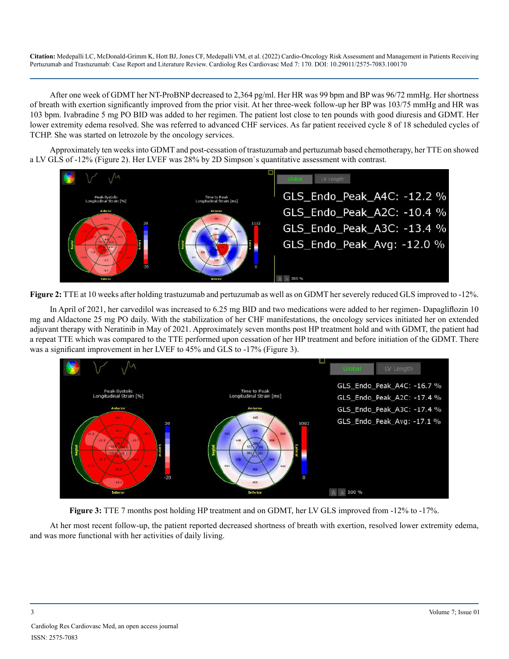After one week of GDMT her NT-ProBNP decreased to 2,364 pg/ml. Her HR was 99 bpm and BP was 96/72 mmHg. Her shortness of breath with exertion significantly improved from the prior visit. At her three-week follow-up her BP was 103/75 mmHg and HR was 103 bpm. Ivabradine 5 mg PO BID was added to her regimen. The patient lost close to ten pounds with good diuresis and GDMT. Her lower extremity edema resolved. She was referred to advanced CHF services. As far patient received cycle 8 of 18 scheduled cycles of TCHP. She was started on letrozole by the oncology services.

Approximately ten weeks into GDMT and post-cessation of trastuzumab and pertuzumab based chemotherapy, her TTE on showed a LV GLS of -12% (Figure 2). Her LVEF was 28% by 2D Simpson`s quantitative assessment with contrast.



**Figure 2:** TTE at 10 weeks after holding trastuzumab and pertuzumab as well as on GDMT her severely reduced GLS improved to -12%.

In April of 2021, her carvedilol was increased to 6.25 mg BID and two medications were added to her regimen- Dapagliflozin 10 mg and Aldactone 25 mg PO daily. With the stabilization of her CHF manifestations, the oncology services initiated her on extended adjuvant therapy with Neratinib in May of 2021. Approximately seven months post HP treatment hold and with GDMT, the patient had a repeat TTE which was compared to the TTE performed upon cessation of her HP treatment and before initiation of the GDMT. There was a significant improvement in her LVEF to 45% and GLS to -17% (Figure 3).



**Figure 3:** TTE 7 months post holding HP treatment and on GDMT, her LV GLS improved from -12% to -17%.

At her most recent follow-up, the patient reported decreased shortness of breath with exertion, resolved lower extremity edema, and was more functional with her activities of daily living.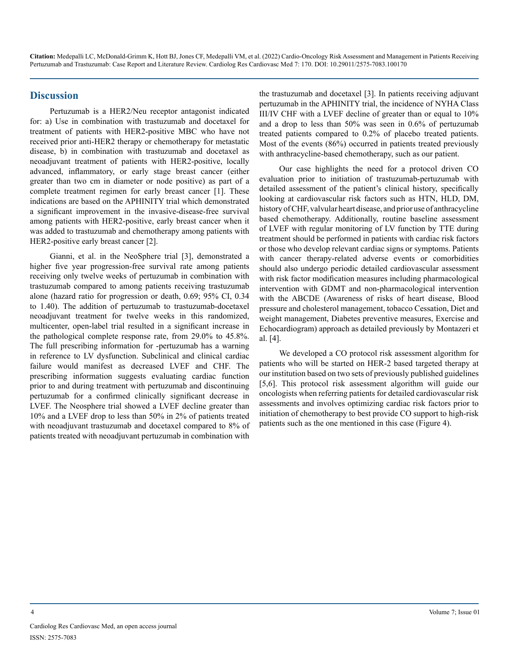#### **Discussion**

Pertuzumab is a HER2/Neu receptor antagonist indicated for: a) Use in combination with trastuzumab and docetaxel for treatment of patients with HER2-positive MBC who have not received prior anti-HER2 therapy or chemotherapy for metastatic disease, b) in combination with trastuzumab and docetaxel as neoadjuvant treatment of patients with HER2-positive, locally advanced, inflammatory, or early stage breast cancer (either greater than two cm in diameter or node positive) as part of a complete treatment regimen for early breast cancer [1]. These indications are based on the APHINITY trial which demonstrated a significant improvement in the invasive-disease-free survival among patients with HER2-positive, early breast cancer when it was added to trastuzumab and chemotherapy among patients with HER2-positive early breast cancer [2].

Gianni, et al. in the NeoSphere trial [3], demonstrated a higher five year progression-free survival rate among patients receiving only twelve weeks of pertuzumab in combination with trastuzumab compared to among patients receiving trastuzumab alone (hazard ratio for progression or death, 0.69; 95% CI, 0.34 to 1.40). The addition of pertuzumab to trastuzumab-docetaxel neoadjuvant treatment for twelve weeks in this randomized, multicenter, open-label trial resulted in a significant increase in the pathological complete response rate, from 29.0% to 45.8%. The full prescribing information for -pertuzumab has a warning in reference to LV dysfunction. Subclinical and clinical cardiac failure would manifest as decreased LVEF and CHF. The prescribing information suggests evaluating cardiac function prior to and during treatment with pertuzumab and discontinuing pertuzumab for a confirmed clinically significant decrease in LVEF. The Neosphere trial showed a LVEF decline greater than 10% and a LVEF drop to less than 50% in 2% of patients treated with neoadjuvant trastuzumab and docetaxel compared to 8% of patients treated with neoadjuvant pertuzumab in combination with

the trastuzumab and docetaxel [3]. In patients receiving adjuvant pertuzumab in the APHINITY trial, the incidence of NYHA Class III/IV CHF with a LVEF decline of greater than or equal to 10% and a drop to less than 50% was seen in 0.6% of pertuzumab treated patients compared to 0.2% of placebo treated patients. Most of the events (86%) occurred in patients treated previously with anthracycline-based chemotherapy, such as our patient.

Our case highlights the need for a protocol driven CO evaluation prior to initiation of trastuzumab-pertuzumab with detailed assessment of the patient's clinical history, specifically looking at cardiovascular risk factors such as HTN, HLD, DM, history of CHF, valvular heart disease, and prior use of anthracycline based chemotherapy. Additionally, routine baseline assessment of LVEF with regular monitoring of LV function by TTE during treatment should be performed in patients with cardiac risk factors or those who develop relevant cardiac signs or symptoms. Patients with cancer therapy-related adverse events or comorbidities should also undergo periodic detailed cardiovascular assessment with risk factor modification measures including pharmacological intervention with GDMT and non-pharmacological intervention with the ABCDE (Awareness of risks of heart disease, Blood pressure and cholesterol management, tobacco Cessation, Diet and weight management, Diabetes preventive measures, Exercise and Echocardiogram) approach as detailed previously by Montazeri et al. [4].

We developed a CO protocol risk assessment algorithm for patients who will be started on HER-2 based targeted therapy at our institution based on two sets of previously published guidelines [5,6]. This protocol risk assessment algorithm will guide our oncologists when referring patients for detailed cardiovascular risk assessments and involves optimizing cardiac risk factors prior to initiation of chemotherapy to best provide CO support to high-risk patients such as the one mentioned in this case (Figure 4).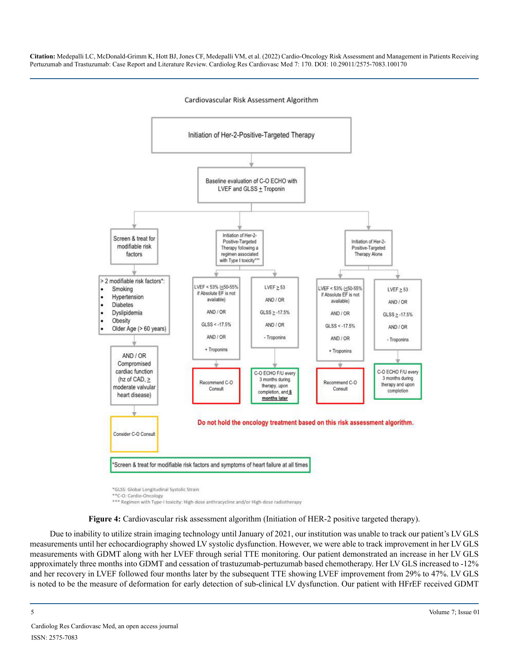

Cardiovascular Risk Assessment Algorithm

\*GLSS: Global Longitudinal Systolic Strain \*\*C-O: Cardio-Oncology

\*\*\* Regimen with Type-I toxicity: High-dose anthracycline and/or High-dose radiotherapy

**Figure 4:** Cardiovascular risk assessment algorithm (Initiation of HER-2 positive targeted therapy).

Due to inability to utilize strain imaging technology until January of 2021, our institution was unable to track our patient's LV GLS measurements until her echocardiography showed LV systolic dysfunction. However, we were able to track improvement in her LV GLS measurements with GDMT along with her LVEF through serial TTE monitoring. Our patient demonstrated an increase in her LV GLS approximately three months into GDMT and cessation of trastuzumab-pertuzumab based chemotherapy. Her LV GLS increased to -12% and her recovery in LVEF followed four months later by the subsequent TTE showing LVEF improvement from 29% to 47%. LV GLS is noted to be the measure of deformation for early detection of sub-clinical LV dysfunction. Our patient with HFrEF received GDMT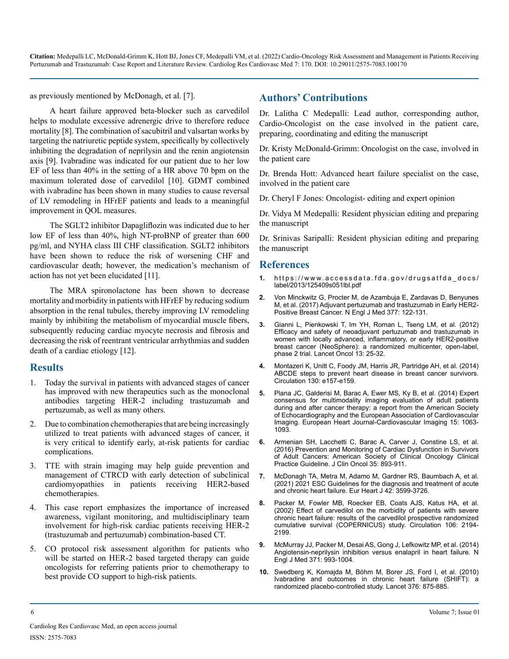as previously mentioned by McDonagh, et al. [7].

A heart failure approved beta-blocker such as carvedilol helps to modulate excessive adrenergic drive to therefore reduce mortality [8]. The combination of sacubitril and valsartan works by targeting the natriuretic peptide system, specifically by collectively inhibiting the degradation of neprilysin and the renin angiotensin axis [9]. Ivabradine was indicated for our patient due to her low EF of less than 40% in the setting of a HR above 70 bpm on the maximum tolerated dose of carvedilol [10]. GDMT combined with ivabradine has been shown in many studies to cause reversal of LV remodeling in HFrEF patients and leads to a meaningful improvement in QOL measures.

The SGLT2 inhibitor Dapagliflozin was indicated due to her low EF of less than 40%, high NT-proBNP of greater than 600 pg/ml, and NYHA class III CHF classification. SGLT2 inhibitors have been shown to reduce the risk of worsening CHF and cardiovascular death; however, the medication's mechanism of action has not yet been elucidated [11].

The MRA spironolactone has been shown to decrease mortality and morbidity in patients with HFrEF by reducing sodium absorption in the renal tubules, thereby improving LV remodeling mainly by inhibiting the metabolism of myocardial muscle fibers, subsequently reducing cardiac myocyte necrosis and fibrosis and decreasing the risk of reentrant ventricular arrhythmias and sudden death of a cardiac etiology [12].

#### **Results**

- 1. Today the survival in patients with advanced stages of cancer has improved with new therapeutics such as the monoclonal antibodies targeting HER-2 including trastuzumab and pertuzumab, as well as many others.
- 2. Due to combination chemotherapies that are being increasingly utilized to treat patients with advanced stages of cancer, it is very critical to identify early, at-risk patients for cardiac complications.
- 3. TTE with strain imaging may help guide prevention and management of CTRCD with early detection of subclinical cardiomyopathies in patients receiving HER2-based chemotherapies.
- 4. This case report emphasizes the importance of increased awareness, vigilant monitoring, and multidisciplinary team involvement for high-risk cardiac patients receiving HER-2 (trastuzumab and pertuzumab) combination-based CT.
- 5. CO protocol risk assessment algorithm for patients who will be started on HER-2 based targeted therapy can guide oncologists for referring patients prior to chemotherapy to best provide CO support to high-risk patients.

#### **Authors' Contributions**

Dr. Lalitha C Medepalli: Lead author, corresponding author, Cardio-Oncologist on the case involved in the patient care, preparing, coordinating and editing the manuscript

Dr. Kristy McDonald-Grimm: Oncologist on the case, involved in the patient care

Dr. Brenda Hott: Advanced heart failure specialist on the case, involved in the patient care

Dr. Cheryl F Jones: Oncologist- editing and expert opinion

Dr. Vidya M Medepalli: Resident physician editing and preparing the manuscript

Dr. Srinivas Saripalli: Resident physician editing and preparing the manuscript

#### **References**

- **1.** [https://www.accessdata.fda.gov/drugsatfda\\_docs/](https://www.accessdata.fda.gov/drugsatfda_docs/label/2013/125409s051lbl.pdf) [label/2013/125409s051lbl.pdf](https://www.accessdata.fda.gov/drugsatfda_docs/label/2013/125409s051lbl.pdf)
- **2.** [Von Minckwitz G, Procter M, de Azambuja E, Zardavas D, Benyunes](https://pubmed.ncbi.nlm.nih.gov/28581356/)  [M, et al. \(2017\) Adjuvant pertuzumab and trastuzumab in Early HER2-](https://pubmed.ncbi.nlm.nih.gov/28581356/) [Positive Breast Cancer. N Engl J Med 377: 122-131.](https://pubmed.ncbi.nlm.nih.gov/28581356/)
- **3.** [Gianni L, Pienkowski T, Im YH, Roman L, Tseng LM, et al. \(2012\)](https://pubmed.ncbi.nlm.nih.gov/22153890/) [Efficacy and safety of neoadjuvant pertuzumab and trastuzumab in](https://pubmed.ncbi.nlm.nih.gov/22153890/)  [women with locally advanced, inflammatory, or early HER2-positive](https://pubmed.ncbi.nlm.nih.gov/22153890/)  [breast cancer \(NeoSphere\): a randomized multicenter, open-label,](https://pubmed.ncbi.nlm.nih.gov/22153890/)  [phase 2 trial. Lancet Oncol 13: 25-32.](https://pubmed.ncbi.nlm.nih.gov/22153890/)
- **4.** [Montazeri K, Unitt C, Foody JM, Harris JR, Partridge AH, et al. \(2014\)](https://pubmed.ncbi.nlm.nih.gov/25462826/) [ABCDE steps to prevent heart disease in breast cancer survivors.](https://pubmed.ncbi.nlm.nih.gov/25462826/) [Circulation 130: e157-e159.](https://pubmed.ncbi.nlm.nih.gov/25462826/)
- **5.** [Plana JC, Galderisi M, Barac A, Ewer MS, Ky B, et al. \(2014\) Expert](https://academic.oup.com/ehjcimaging/article/15/10/1063/2397309)  [consensus for multimodality imaging evaluation of adult patients](https://academic.oup.com/ehjcimaging/article/15/10/1063/2397309)  [during and after cancer therapy: a report from the American Society](https://academic.oup.com/ehjcimaging/article/15/10/1063/2397309)  [of Echocardiography and the European Association of Cardiovascular](https://academic.oup.com/ehjcimaging/article/15/10/1063/2397309)  [Imaging. European Heart Journal-Cardiovascular Imaging 15: 1063-](https://academic.oup.com/ehjcimaging/article/15/10/1063/2397309) [1093.](https://academic.oup.com/ehjcimaging/article/15/10/1063/2397309)
- **6.** [Armenian SH, Lacchetti C, Barac A, Carver J, Constine LS, et al.](https://pubmed.ncbi.nlm.nih.gov/27918725/)  [\(2016\) Prevention and Monitoring of Cardiac Dysfunction in Survivors](https://pubmed.ncbi.nlm.nih.gov/27918725/)  [of Adult Cancers: American Society of Clinical Oncology Clinical](https://pubmed.ncbi.nlm.nih.gov/27918725/)  [Practice Guideline. J Clin Oncol 35: 893-911.](https://pubmed.ncbi.nlm.nih.gov/27918725/)
- **7.** [McDonagh TA, Metra M, Adamo M, Gardner RS, Baumbach A, et al.](https://pubmed.ncbi.nlm.nih.gov/34447992/)  [\(2021\) 2021 ESC Guidelines for the diagnosis and treatment of acute](https://pubmed.ncbi.nlm.nih.gov/34447992/)  [and chronic heart failure. Eur Heart J 42: 3599-3726.](https://pubmed.ncbi.nlm.nih.gov/34447992/)
- **8.** [Packer M, Fowler MB, Roecker EB, Coats AJS, Katus HA, et al.](https://pubmed.ncbi.nlm.nih.gov/12390947/) [\(2002\) Effect of carvedilol on the morbidity of patients with severe](https://pubmed.ncbi.nlm.nih.gov/12390947/)  [chronic heart failure: results of the carvedilol prospective randomized](https://pubmed.ncbi.nlm.nih.gov/12390947/)  [cumulative survival \(COPERNICUS\) study. Circulation 106: 2194-](https://pubmed.ncbi.nlm.nih.gov/12390947/) [2199.](https://pubmed.ncbi.nlm.nih.gov/12390947/)
- **9.** [McMurray JJ, Packer M, Desai AS, Gong J, Lefkowitz MP, et al. \(2014\)](https://pubmed.ncbi.nlm.nih.gov/25176015/)  [Angiotensin-neprilysin inhibition versus enalapril in heart failure. N](https://pubmed.ncbi.nlm.nih.gov/25176015/)  [Engl J Med 371: 993-1004.](https://pubmed.ncbi.nlm.nih.gov/25176015/)
- **10.** [Swedberg K, Komajda M, Böhm M, Borer JS, Ford I, et al. \(2010\)](https://pubmed.ncbi.nlm.nih.gov/20801500/)  [Ivabradine and outcomes in chronic heart failure \(SHIFT\): a](https://pubmed.ncbi.nlm.nih.gov/20801500/) [randomized placebo-controlled study. Lancet 376: 875-885.](https://pubmed.ncbi.nlm.nih.gov/20801500/)